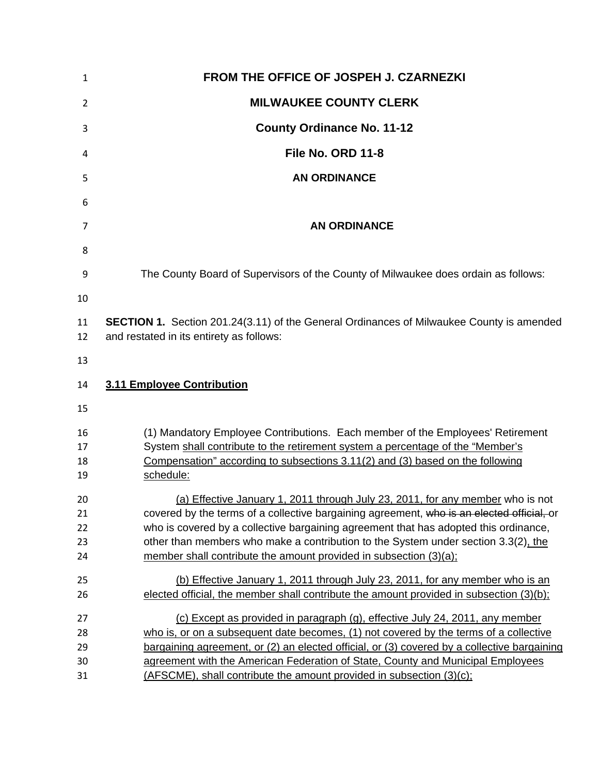| 1                          | FROM THE OFFICE OF JOSPEH J. CZARNEZKI                                                                                                                                                                                                                                                                                                                                                                                         |
|----------------------------|--------------------------------------------------------------------------------------------------------------------------------------------------------------------------------------------------------------------------------------------------------------------------------------------------------------------------------------------------------------------------------------------------------------------------------|
| 2                          | <b>MILWAUKEE COUNTY CLERK</b>                                                                                                                                                                                                                                                                                                                                                                                                  |
| 3                          | <b>County Ordinance No. 11-12</b>                                                                                                                                                                                                                                                                                                                                                                                              |
| 4                          | File No. ORD 11-8                                                                                                                                                                                                                                                                                                                                                                                                              |
| 5                          | <b>AN ORDINANCE</b>                                                                                                                                                                                                                                                                                                                                                                                                            |
| 6                          |                                                                                                                                                                                                                                                                                                                                                                                                                                |
| 7                          | <b>AN ORDINANCE</b>                                                                                                                                                                                                                                                                                                                                                                                                            |
| 8                          |                                                                                                                                                                                                                                                                                                                                                                                                                                |
| 9                          | The County Board of Supervisors of the County of Milwaukee does ordain as follows:                                                                                                                                                                                                                                                                                                                                             |
| 10<br>11<br>12             | <b>SECTION 1.</b> Section 201.24(3.11) of the General Ordinances of Milwaukee County is amended<br>and restated in its entirety as follows:                                                                                                                                                                                                                                                                                    |
| 13                         |                                                                                                                                                                                                                                                                                                                                                                                                                                |
| 14                         | 3.11 Employee Contribution                                                                                                                                                                                                                                                                                                                                                                                                     |
| 15                         |                                                                                                                                                                                                                                                                                                                                                                                                                                |
| 16<br>17<br>18<br>19       | (1) Mandatory Employee Contributions. Each member of the Employees' Retirement<br>System shall contribute to the retirement system a percentage of the "Member's<br>Compensation" according to subsections 3.11(2) and (3) based on the following<br>schedule:                                                                                                                                                                 |
| 20<br>21<br>22<br>23<br>24 | (a) Effective January 1, 2011 through July 23, 2011, for any member who is not<br>covered by the terms of a collective bargaining agreement, who is an elected official, or<br>who is covered by a collective bargaining agreement that has adopted this ordinance,<br>other than members who make a contribution to the System under section 3.3(2), the<br>member shall contribute the amount provided in subsection (3)(a); |
| 25<br>26                   | (b) Effective January 1, 2011 through July 23, 2011, for any member who is an<br>elected official, the member shall contribute the amount provided in subsection (3)(b);                                                                                                                                                                                                                                                       |
| 27<br>28<br>29<br>30       | (c) Except as provided in paragraph (g), effective July 24, 2011, any member<br>who is, or on a subsequent date becomes, (1) not covered by the terms of a collective<br>bargaining agreement, or (2) an elected official, or (3) covered by a collective bargaining<br>agreement with the American Federation of State, County and Municipal Employees                                                                        |
| 31                         | (AFSCME), shall contribute the amount provided in subsection (3)(c);                                                                                                                                                                                                                                                                                                                                                           |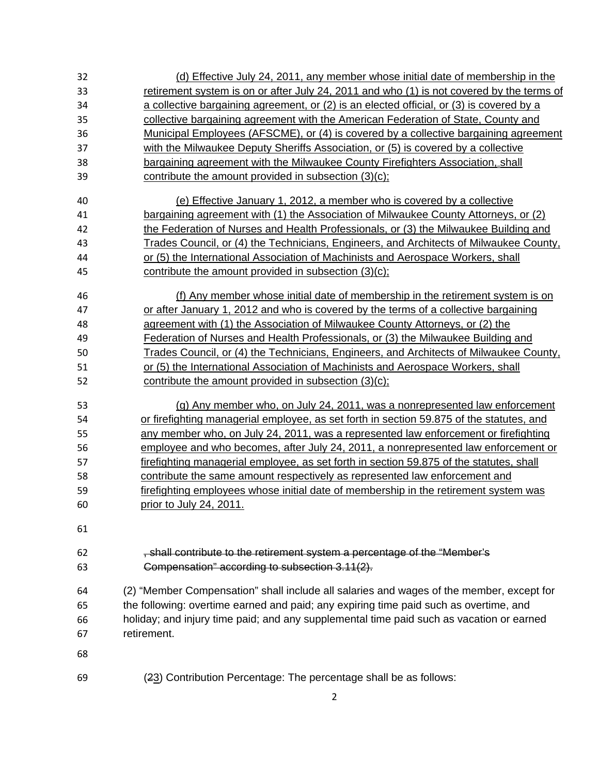| 32 | (d) Effective July 24, 2011, any member whose initial date of membership in the                 |
|----|-------------------------------------------------------------------------------------------------|
| 33 | retirement system is on or after July 24, 2011 and who (1) is not covered by the terms of       |
| 34 | <u>a collective bargaining agreement, or (2) is an elected official, or (3) is covered by a</u> |
| 35 | collective bargaining agreement with the American Federation of State, County and               |
| 36 | <u>Municipal Employees (AFSCME), or (4) is covered by a collective bargaining agreement</u>     |
| 37 | with the Milwaukee Deputy Sheriffs Association, or (5) is covered by a collective               |
| 38 | bargaining agreement with the Milwaukee County Firefighters Association, shall                  |
| 39 | contribute the amount provided in subsection (3)(c);                                            |
| 40 | (e) Effective January 1, 2012, a member who is covered by a collective                          |
| 41 | bargaining agreement with (1) the Association of Milwaukee County Attorneys, or (2)             |
| 42 | the Federation of Nurses and Health Professionals, or (3) the Milwaukee Building and            |
| 43 | <u>Trades Council, or (4) the Technicians, Engineers, and Architects of Milwaukee County.</u>   |
| 44 | or (5) the International Association of Machinists and Aerospace Workers, shall                 |
| 45 | contribute the amount provided in subsection (3)(c);                                            |
| 46 | (f) Any member whose initial date of membership in the retirement system is on                  |
| 47 | or after January 1, 2012 and who is covered by the terms of a collective bargaining             |
| 48 | agreement with (1) the Association of Milwaukee County Attorneys, or (2) the                    |
| 49 | Federation of Nurses and Health Professionals, or (3) the Milwaukee Building and                |
| 50 | Trades Council, or (4) the Technicians, Engineers, and Architects of Milwaukee County,          |
| 51 | or (5) the International Association of Machinists and Aerospace Workers, shall                 |
| 52 | contribute the amount provided in subsection (3)(c);                                            |
| 53 | (g) Any member who, on July 24, 2011, was a nonrepresented law enforcement                      |
| 54 | or firefighting managerial employee, as set forth in section 59.875 of the statutes, and        |
| 55 | <u>any member who, on July 24, 2011, was a represented law enforcement or firefighting</u>      |
| 56 | employee and who becomes, after July 24, 2011, a nonrepresented law enforcement or              |
| 57 | firefighting managerial employee, as set forth in section 59.875 of the statutes, shall         |
| 58 | contribute the same amount respectively as represented law enforcement and                      |
| 59 | firefighting employees whose initial date of membership in the retirement system was            |
| 60 | <u>prior to July 24, 2011.</u>                                                                  |
| 61 |                                                                                                 |
| 62 | , shall contribute to the retirement system a percentage of the "Member's                       |
| 63 | Compensation" according to subsection 3.11(2).                                                  |
| 64 | (2) "Member Compensation" shall include all salaries and wages of the member, except for        |
| 65 | the following: overtime earned and paid; any expiring time paid such as overtime, and           |
| 66 | holiday; and injury time paid; and any supplemental time paid such as vacation or earned        |
| 67 | retirement.                                                                                     |
| 68 |                                                                                                 |
| 69 | (23) Contribution Percentage: The percentage shall be as follows:                               |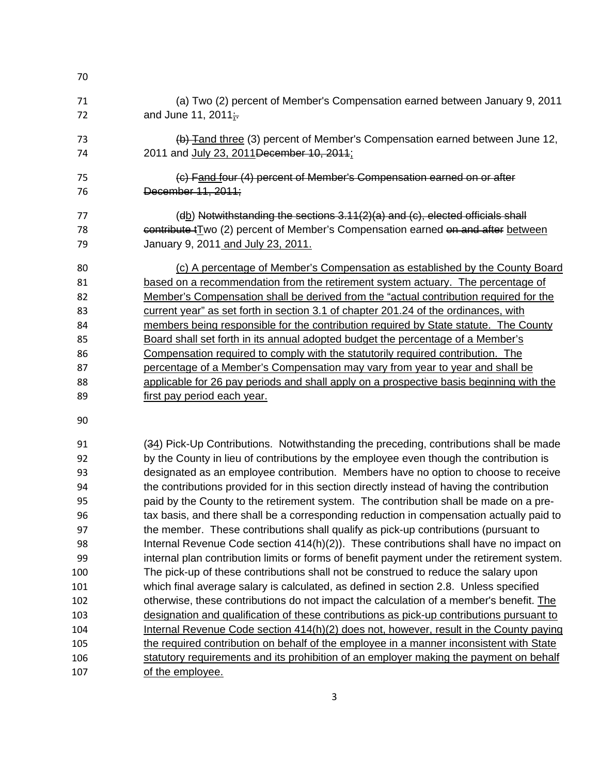| 70                                                       |                                                                                                                                                                                                                                                                                                                                                                                                                                                                                                                                                                                                                                                                                                                                                                                                                                 |
|----------------------------------------------------------|---------------------------------------------------------------------------------------------------------------------------------------------------------------------------------------------------------------------------------------------------------------------------------------------------------------------------------------------------------------------------------------------------------------------------------------------------------------------------------------------------------------------------------------------------------------------------------------------------------------------------------------------------------------------------------------------------------------------------------------------------------------------------------------------------------------------------------|
| 71<br>72                                                 | (a) Two (2) percent of Member's Compensation earned between January 9, 2011<br>and June 11, 2011:                                                                                                                                                                                                                                                                                                                                                                                                                                                                                                                                                                                                                                                                                                                               |
| 73<br>74                                                 | (b) Tand three (3) percent of Member's Compensation earned between June 12,<br>2011 and July 23, 2011 December 10, 2011;                                                                                                                                                                                                                                                                                                                                                                                                                                                                                                                                                                                                                                                                                                        |
| 75<br>76                                                 | (c) Fand four (4) percent of Member's Compensation earned on or after<br>December 11, 2011;                                                                                                                                                                                                                                                                                                                                                                                                                                                                                                                                                                                                                                                                                                                                     |
| 77<br>78<br>79                                           | (db) Notwithstanding the sections 3.11(2)(a) and (c), elected officials shall<br>contribute t <sub>T</sub> wo (2) percent of Member's Compensation earned on and after between<br>January 9, 2011 and July 23, 2011.                                                                                                                                                                                                                                                                                                                                                                                                                                                                                                                                                                                                            |
| 80<br>81<br>82<br>83<br>84<br>85<br>86<br>87<br>88<br>89 | (c) A percentage of Member's Compensation as established by the County Board<br>based on a recommendation from the retirement system actuary. The percentage of<br>Member's Compensation shall be derived from the "actual contribution required for the<br><u>current year" as set forth in section 3.1 of chapter 201.24 of the ordinances, with</u><br>members being responsible for the contribution required by State statute. The County<br>Board shall set forth in its annual adopted budget the percentage of a Member's<br>Compensation required to comply with the statutorily required contribution. The<br>percentage of a Member's Compensation may vary from year to year and shall be<br>applicable for 26 pay periods and shall apply on a prospective basis beginning with the<br>first pay period each year. |
| 90                                                       |                                                                                                                                                                                                                                                                                                                                                                                                                                                                                                                                                                                                                                                                                                                                                                                                                                 |
| 91<br>92<br>93<br>94                                     | (34) Pick-Up Contributions. Notwithstanding the preceding, contributions shall be made<br>by the County in lieu of contributions by the employee even though the contribution is<br>designated as an employee contribution. Members have no option to choose to receive<br>the contributions provided for in this section directly instead of having the contribution                                                                                                                                                                                                                                                                                                                                                                                                                                                           |
| 95                                                       | paid by the County to the retirement system. The contribution shall be made on a pre-                                                                                                                                                                                                                                                                                                                                                                                                                                                                                                                                                                                                                                                                                                                                           |
| 96                                                       | tax basis, and there shall be a corresponding reduction in compensation actually paid to                                                                                                                                                                                                                                                                                                                                                                                                                                                                                                                                                                                                                                                                                                                                        |
| 97                                                       | the member. These contributions shall qualify as pick-up contributions (pursuant to                                                                                                                                                                                                                                                                                                                                                                                                                                                                                                                                                                                                                                                                                                                                             |
| 98                                                       | Internal Revenue Code section $414(h)(2)$ . These contributions shall have no impact on                                                                                                                                                                                                                                                                                                                                                                                                                                                                                                                                                                                                                                                                                                                                         |
| 99<br>100                                                | internal plan contribution limits or forms of benefit payment under the retirement system.<br>The pick-up of these contributions shall not be construed to reduce the salary upon                                                                                                                                                                                                                                                                                                                                                                                                                                                                                                                                                                                                                                               |
| 101                                                      | which final average salary is calculated, as defined in section 2.8. Unless specified                                                                                                                                                                                                                                                                                                                                                                                                                                                                                                                                                                                                                                                                                                                                           |
| 102                                                      | otherwise, these contributions do not impact the calculation of a member's benefit. The                                                                                                                                                                                                                                                                                                                                                                                                                                                                                                                                                                                                                                                                                                                                         |
| 103                                                      | designation and qualification of these contributions as pick-up contributions pursuant to                                                                                                                                                                                                                                                                                                                                                                                                                                                                                                                                                                                                                                                                                                                                       |
| 104                                                      | Internal Revenue Code section 414(h)(2) does not, however, result in the County paying                                                                                                                                                                                                                                                                                                                                                                                                                                                                                                                                                                                                                                                                                                                                          |
| 105                                                      | the required contribution on behalf of the employee in a manner inconsistent with State                                                                                                                                                                                                                                                                                                                                                                                                                                                                                                                                                                                                                                                                                                                                         |
| 106                                                      | statutory requirements and its prohibition of an employer making the payment on behalf                                                                                                                                                                                                                                                                                                                                                                                                                                                                                                                                                                                                                                                                                                                                          |
| 107                                                      | of the employee.                                                                                                                                                                                                                                                                                                                                                                                                                                                                                                                                                                                                                                                                                                                                                                                                                |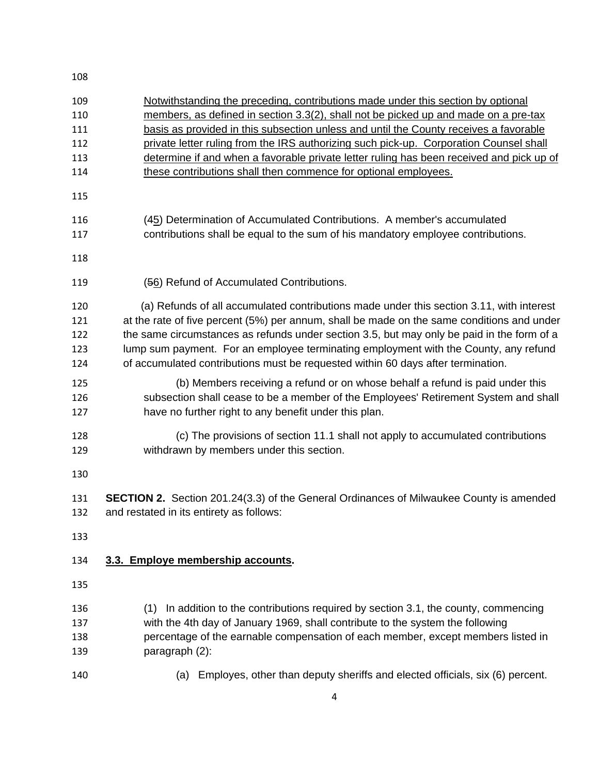| 109 | Notwithstanding the preceding, contributions made under this section by optional           |
|-----|--------------------------------------------------------------------------------------------|
| 110 | members, as defined in section 3.3(2), shall not be picked up and made on a pre-tax        |
| 111 | basis as provided in this subsection unless and until the County receives a favorable      |
| 112 | private letter ruling from the IRS authorizing such pick-up. Corporation Counsel shall     |
| 113 | determine if and when a favorable private letter ruling has been received and pick up of   |
| 114 | these contributions shall then commence for optional employees.                            |
| 115 |                                                                                            |
| 116 | (45) Determination of Accumulated Contributions. A member's accumulated                    |
| 117 | contributions shall be equal to the sum of his mandatory employee contributions.           |
| 118 |                                                                                            |
| 119 | (56) Refund of Accumulated Contributions.                                                  |
| 120 | (a) Refunds of all accumulated contributions made under this section 3.11, with interest   |
| 121 | at the rate of five percent (5%) per annum, shall be made on the same conditions and under |
| 122 | the same circumstances as refunds under section 3.5, but may only be paid in the form of a |
| 123 | lump sum payment. For an employee terminating employment with the County, any refund       |
| 124 | of accumulated contributions must be requested within 60 days after termination.           |
|     |                                                                                            |
| 125 | (b) Members receiving a refund or on whose behalf a refund is paid under this              |
| 126 | subsection shall cease to be a member of the Employees' Retirement System and shall        |
| 127 | have no further right to any benefit under this plan.                                      |
| 128 | (c) The provisions of section 11.1 shall not apply to accumulated contributions            |
| 129 | withdrawn by members under this section.                                                   |
|     |                                                                                            |
| 130 |                                                                                            |
|     |                                                                                            |
| 131 | SECTION 2. Section 201.24(3.3) of the General Ordinances of Milwaukee County is amended    |
| 132 | and restated in its entirety as follows:                                                   |
| 133 |                                                                                            |
|     |                                                                                            |
| 134 | 3.3. Employe membership accounts.                                                          |
| 135 |                                                                                            |
|     |                                                                                            |
| 136 | In addition to the contributions required by section 3.1, the county, commencing<br>(1)    |
| 137 | with the 4th day of January 1969, shall contribute to the system the following             |
| 138 | percentage of the earnable compensation of each member, except members listed in           |
| 139 | paragraph (2):                                                                             |
|     | Employes, other than deputy sheriffs and elected officials, six (6) percent.               |
| 140 | (a)                                                                                        |
|     |                                                                                            |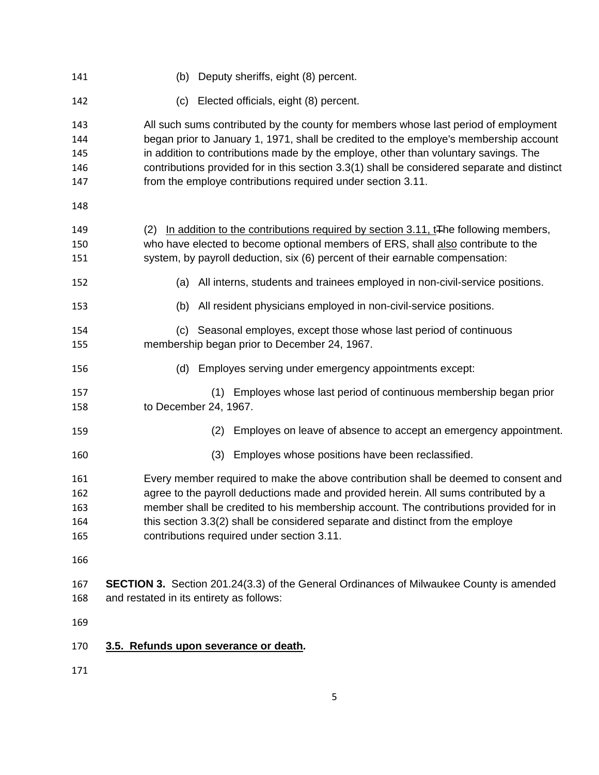| 141                             | (b) Deputy sheriffs, eight (8) percent.                                                                                                                                                                                                                                                                                                                                                                                           |
|---------------------------------|-----------------------------------------------------------------------------------------------------------------------------------------------------------------------------------------------------------------------------------------------------------------------------------------------------------------------------------------------------------------------------------------------------------------------------------|
| 142                             | Elected officials, eight (8) percent.<br>(c)                                                                                                                                                                                                                                                                                                                                                                                      |
| 143<br>144<br>145<br>146<br>147 | All such sums contributed by the county for members whose last period of employment<br>began prior to January 1, 1971, shall be credited to the employe's membership account<br>in addition to contributions made by the employe, other than voluntary savings. The<br>contributions provided for in this section 3.3(1) shall be considered separate and distinct<br>from the employe contributions required under section 3.11. |
| 148                             |                                                                                                                                                                                                                                                                                                                                                                                                                                   |
| 149<br>150<br>151               | In addition to the contributions required by section 3.11, t <sub>The</sub> following members,<br>(2)<br>who have elected to become optional members of ERS, shall also contribute to the<br>system, by payroll deduction, six (6) percent of their earnable compensation:                                                                                                                                                        |
| 152                             | (a) All interns, students and trainees employed in non-civil-service positions.                                                                                                                                                                                                                                                                                                                                                   |
| 153                             | All resident physicians employed in non-civil-service positions.<br>(b)                                                                                                                                                                                                                                                                                                                                                           |
| 154<br>155                      | Seasonal employes, except those whose last period of continuous<br>(C)<br>membership began prior to December 24, 1967.                                                                                                                                                                                                                                                                                                            |
| 156                             | Employes serving under emergency appointments except:<br>(d)                                                                                                                                                                                                                                                                                                                                                                      |
| 157<br>158                      | (1) Employes whose last period of continuous membership began prior<br>to December 24, 1967.                                                                                                                                                                                                                                                                                                                                      |
| 159                             | Employes on leave of absence to accept an emergency appointment.<br>(2)                                                                                                                                                                                                                                                                                                                                                           |
| 160                             | Employes whose positions have been reclassified.<br>(3)                                                                                                                                                                                                                                                                                                                                                                           |
| 161<br>162<br>163<br>164<br>165 | Every member required to make the above contribution shall be deemed to consent and<br>agree to the payroll deductions made and provided herein. All sums contributed by a<br>member shall be credited to his membership account. The contributions provided for in<br>this section 3.3(2) shall be considered separate and distinct from the employe<br>contributions required under section 3.11.                               |
| 166                             |                                                                                                                                                                                                                                                                                                                                                                                                                                   |
| 167<br>168                      | <b>SECTION 3.</b> Section 201.24(3.3) of the General Ordinances of Milwaukee County is amended<br>and restated in its entirety as follows:                                                                                                                                                                                                                                                                                        |
| 169                             |                                                                                                                                                                                                                                                                                                                                                                                                                                   |
| 170                             | 3.5. Refunds upon severance or death.                                                                                                                                                                                                                                                                                                                                                                                             |
| 171                             |                                                                                                                                                                                                                                                                                                                                                                                                                                   |

5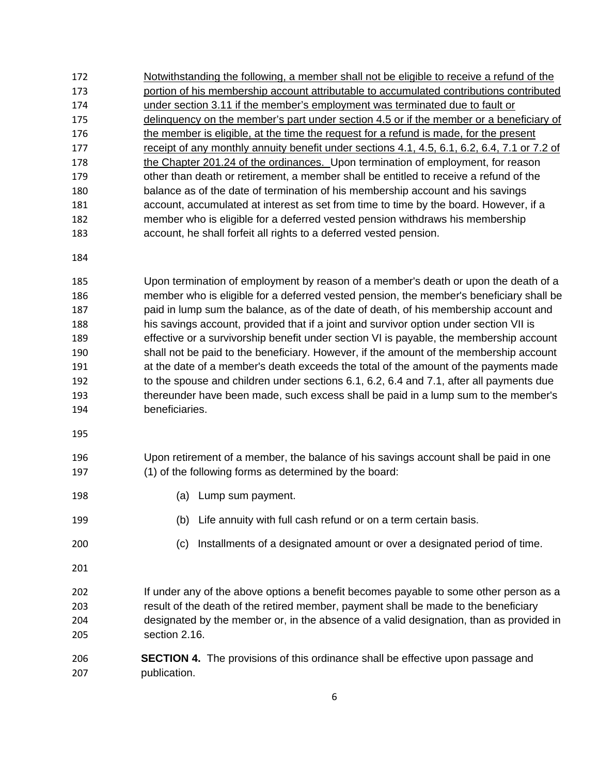172 Notwithstanding the following, a member shall not be eligible to receive a refund of the 173 portion of his membership account attributable to accumulated contributions contributed 174 under section 3.11 if the member's employment was terminated due to fault or 175 delinquency on the member's part under section 4.5 or if the member or a beneficiary of 176 the member is eligible, at the time the request for a refund is made, for the present 177 receipt of any monthly annuity benefit under sections 4.1, 4.5, 6.1, 6.2, 6.4, 7.1 or 7.2 of the Chapter 201.24 of the ordinances. Upon termination of employment, for reason other than death or retirement, a member shall be entitled to receive a refund of the balance as of the date of termination of his membership account and his savings account, accumulated at interest as set from time to time by the board. However, if a member who is eligible for a deferred vested pension withdraws his membership account, he shall forfeit all rights to a deferred vested pension. 178 179 180 181 182 183

184

185 186 187 188 189 190 191 192 193 194 Upon termination of employment by reason of a member's death or upon the death of a member who is eligible for a deferred vested pension, the member's beneficiary shall be paid in lump sum the balance, as of the date of death, of his membership account and his savings account, provided that if a joint and survivor option under section VII is effective or a survivorship benefit under section VI is payable, the membership account shall not be paid to the beneficiary. However, if the amount of the membership account at the date of a member's death exceeds the total of the amount of the payments made to the spouse and children under sections 6.1, 6.2, 6.4 and 7.1, after all payments due thereunder have been made, such excess shall be paid in a lump sum to the member's beneficiaries.

195

196 197 Upon retirement of a member, the balance of his savings account shall be paid in one (1) of the following forms as determined by the board:

- 198 (a) Lump sum payment.
- 199 (b) Life annuity with full cash refund or on a term certain basis.
- 200 (c) Installments of a designated amount or over a designated period of time.
- 201

202 203 204 205 If under any of the above options a benefit becomes payable to some other person as a result of the death of the retired member, payment shall be made to the beneficiary designated by the member or, in the absence of a valid designation, than as provided in section 2.16.

206 207 **SECTION 4.** The provisions of this ordinance shall be effective upon passage and publication.